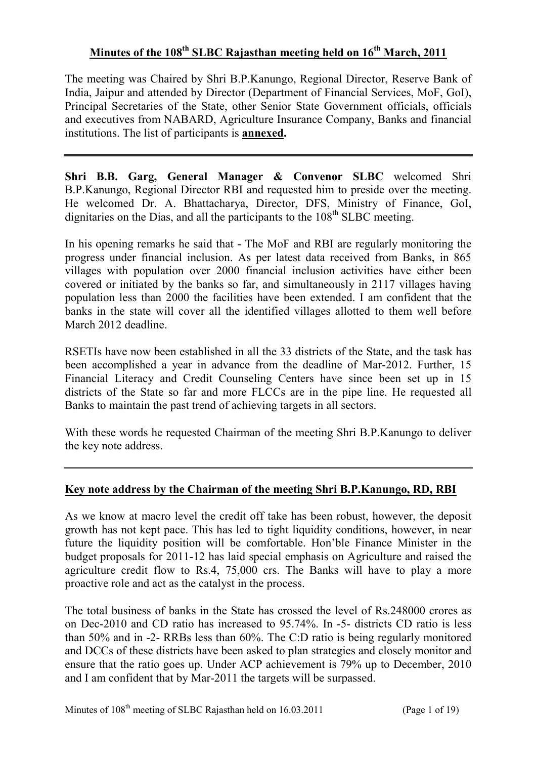# **Minutes of the 108th SLBC Rajasthan meeting held on 16th March, 2011**

The meeting was Chaired by Shri B.P.Kanungo, Regional Director, Reserve Bank of India, Jaipur and attended by Director (Department of Financial Services, MoF, GoI), Principal Secretaries of the State, other Senior State Government officials, officials and executives from NABARD, Agriculture Insurance Company, Banks and financial institutions. The list of participants is **annexed.** 

**Shri B.B. Garg, General Manager & Convenor SLBC** welcomed Shri B.P.Kanungo, Regional Director RBI and requested him to preside over the meeting. He welcomed Dr. A. Bhattacharya, Director, DFS, Ministry of Finance, GoI, dignitaries on the Dias, and all the participants to the  $108<sup>th</sup>$  SLBC meeting.

In his opening remarks he said that - The MoF and RBI are regularly monitoring the progress under financial inclusion. As per latest data received from Banks, in 865 villages with population over 2000 financial inclusion activities have either been covered or initiated by the banks so far, and simultaneously in 2117 villages having population less than 2000 the facilities have been extended. I am confident that the banks in the state will cover all the identified villages allotted to them well before March 2012 deadline.

RSETIs have now been established in all the 33 districts of the State, and the task has been accomplished a year in advance from the deadline of Mar-2012. Further, 15 Financial Literacy and Credit Counseling Centers have since been set up in 15 districts of the State so far and more FLCCs are in the pipe line. He requested all Banks to maintain the past trend of achieving targets in all sectors.

With these words he requested Chairman of the meeting Shri B.P.Kanungo to deliver the key note address.

### **Key note address by the Chairman of the meeting Shri B.P.Kanungo, RD, RBI**

As we know at macro level the credit off take has been robust, however, the deposit growth has not kept pace. This has led to tight liquidity conditions, however, in near future the liquidity position will be comfortable. Hon'ble Finance Minister in the budget proposals for 2011-12 has laid special emphasis on Agriculture and raised the agriculture credit flow to Rs.4, 75,000 crs. The Banks will have to play a more proactive role and act as the catalyst in the process.

The total business of banks in the State has crossed the level of Rs.248000 crores as on Dec-2010 and CD ratio has increased to 95.74%. In -5- districts CD ratio is less than 50% and in -2- RRBs less than 60%. The C:D ratio is being regularly monitored and DCCs of these districts have been asked to plan strategies and closely monitor and ensure that the ratio goes up. Under ACP achievement is 79% up to December, 2010 and I am confident that by Mar-2011 the targets will be surpassed.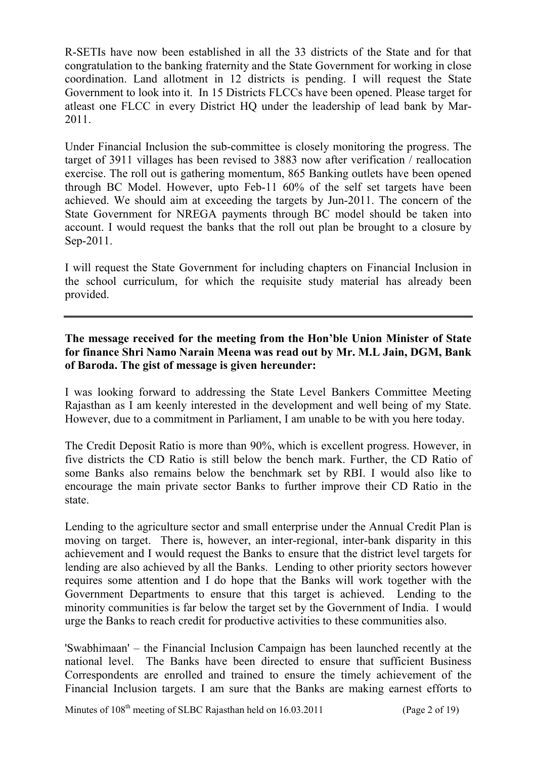R-SETIs have now been established in all the 33 districts of the State and for that congratulation to the banking fraternity and the State Government for working in close coordination. Land allotment in 12 districts is pending. I will request the State Government to look into it. In 15 Districts FLCCs have been opened. Please target for atleast one FLCC in every District HQ under the leadership of lead bank by Mar-2011.

Under Financial Inclusion the sub-committee is closely monitoring the progress. The target of 3911 villages has been revised to 3883 now after verification / reallocation exercise. The roll out is gathering momentum, 865 Banking outlets have been opened through BC Model. However, upto Feb-11 60% of the self set targets have been achieved. We should aim at exceeding the targets by Jun-2011. The concern of the State Government for NREGA payments through BC model should be taken into account. I would request the banks that the roll out plan be brought to a closure by Sep-2011.

I will request the State Government for including chapters on Financial Inclusion in the school curriculum, for which the requisite study material has already been provided.

### **The message received for the meeting from the Hon'ble Union Minister of State for finance Shri Namo Narain Meena was read out by Mr. M.L Jain, DGM, Bank of Baroda. The gist of message is given hereunder:**

I was looking forward to addressing the State Level Bankers Committee Meeting Rajasthan as I am keenly interested in the development and well being of my State. However, due to a commitment in Parliament, I am unable to be with you here today.

The Credit Deposit Ratio is more than 90%, which is excellent progress. However, in five districts the CD Ratio is still below the bench mark. Further, the CD Ratio of some Banks also remains below the benchmark set by RBI. I would also like to encourage the main private sector Banks to further improve their CD Ratio in the state.

Lending to the agriculture sector and small enterprise under the Annual Credit Plan is moving on target. There is, however, an inter-regional, inter-bank disparity in this achievement and I would request the Banks to ensure that the district level targets for lending are also achieved by all the Banks. Lending to other priority sectors however requires some attention and I do hope that the Banks will work together with the Government Departments to ensure that this target is achieved. Lending to the minority communities is far below the target set by the Government of India. I would urge the Banks to reach credit for productive activities to these communities also.

'Swabhimaan' – the Financial Inclusion Campaign has been launched recently at the national level. The Banks have been directed to ensure that sufficient Business Correspondents are enrolled and trained to ensure the timely achievement of the Financial Inclusion targets. I am sure that the Banks are making earnest efforts to

Minutes of  $108<sup>th</sup>$  meeting of SLBC Rajasthan held on  $16.03.2011$  (Page 2 of 19)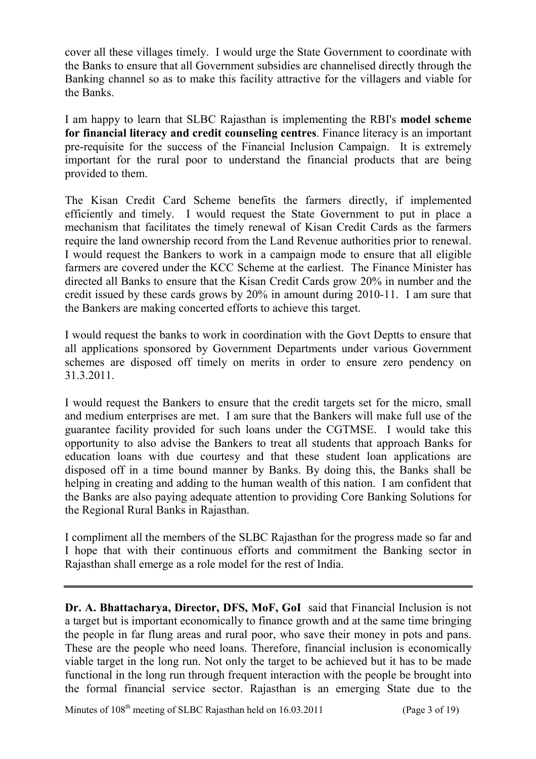cover all these villages timely. I would urge the State Government to coordinate with the Banks to ensure that all Government subsidies are channelised directly through the Banking channel so as to make this facility attractive for the villagers and viable for the Banks.

I am happy to learn that SLBC Rajasthan is implementing the RBI's **model scheme for financial literacy and credit counseling centres**. Finance literacy is an important pre-requisite for the success of the Financial Inclusion Campaign. It is extremely important for the rural poor to understand the financial products that are being provided to them.

The Kisan Credit Card Scheme benefits the farmers directly, if implemented efficiently and timely. I would request the State Government to put in place a mechanism that facilitates the timely renewal of Kisan Credit Cards as the farmers require the land ownership record from the Land Revenue authorities prior to renewal. I would request the Bankers to work in a campaign mode to ensure that all eligible farmers are covered under the KCC Scheme at the earliest. The Finance Minister has directed all Banks to ensure that the Kisan Credit Cards grow 20% in number and the credit issued by these cards grows by 20% in amount during 2010-11. I am sure that the Bankers are making concerted efforts to achieve this target.

I would request the banks to work in coordination with the Govt Deptts to ensure that all applications sponsored by Government Departments under various Government schemes are disposed off timely on merits in order to ensure zero pendency on 31.3.2011.

I would request the Bankers to ensure that the credit targets set for the micro, small and medium enterprises are met. I am sure that the Bankers will make full use of the guarantee facility provided for such loans under the CGTMSE. I would take this opportunity to also advise the Bankers to treat all students that approach Banks for education loans with due courtesy and that these student loan applications are disposed off in a time bound manner by Banks. By doing this, the Banks shall be helping in creating and adding to the human wealth of this nation. I am confident that the Banks are also paying adequate attention to providing Core Banking Solutions for the Regional Rural Banks in Rajasthan.

I compliment all the members of the SLBC Rajasthan for the progress made so far and I hope that with their continuous efforts and commitment the Banking sector in Rajasthan shall emerge as a role model for the rest of India.

**Dr. A. Bhattacharya, Director, DFS, MoF, GoI** said that Financial Inclusion is not a target but is important economically to finance growth and at the same time bringing the people in far flung areas and rural poor, who save their money in pots and pans. These are the people who need loans. Therefore, financial inclusion is economically viable target in the long run. Not only the target to be achieved but it has to be made functional in the long run through frequent interaction with the people be brought into the formal financial service sector. Rajasthan is an emerging State due to the

Minutes of  $108<sup>th</sup>$  meeting of SLBC Rajasthan held on  $16.03.2011$  (Page 3 of 19)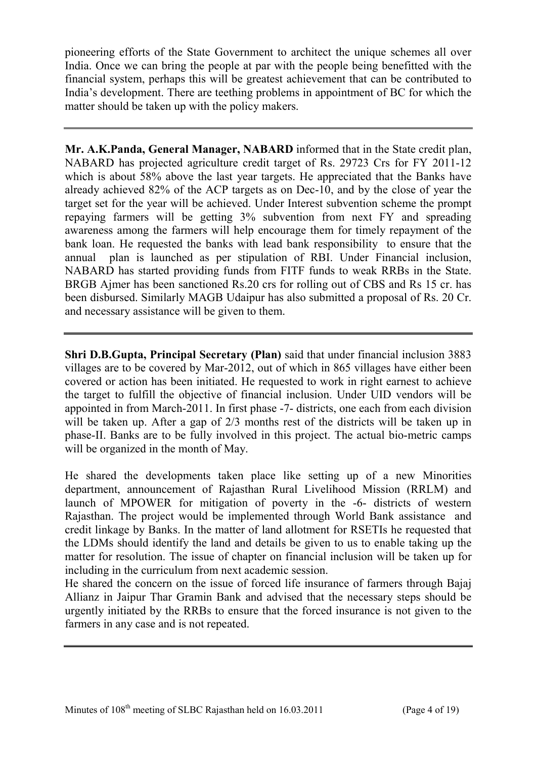pioneering efforts of the State Government to architect the unique schemes all over India. Once we can bring the people at par with the people being benefitted with the financial system, perhaps this will be greatest achievement that can be contributed to India's development. There are teething problems in appointment of BC for which the matter should be taken up with the policy makers.

**Mr. A.K.Panda, General Manager, NABARD** informed that in the State credit plan, NABARD has projected agriculture credit target of Rs. 29723 Crs for FY 2011-12 which is about 58% above the last year targets. He appreciated that the Banks have already achieved 82% of the ACP targets as on Dec-10, and by the close of year the target set for the year will be achieved. Under Interest subvention scheme the prompt repaying farmers will be getting 3% subvention from next FY and spreading awareness among the farmers will help encourage them for timely repayment of the bank loan. He requested the banks with lead bank responsibility to ensure that the annual plan is launched as per stipulation of RBI. Under Financial inclusion, NABARD has started providing funds from FITF funds to weak RRBs in the State. BRGB Ajmer has been sanctioned Rs.20 crs for rolling out of CBS and Rs 15 cr. has been disbursed. Similarly MAGB Udaipur has also submitted a proposal of Rs. 20 Cr. and necessary assistance will be given to them.

**Shri D.B.Gupta, Principal Secretary (Plan)** said that under financial inclusion 3883 villages are to be covered by Mar-2012, out of which in 865 villages have either been covered or action has been initiated. He requested to work in right earnest to achieve the target to fulfill the objective of financial inclusion. Under UID vendors will be appointed in from March-2011. In first phase -7- districts, one each from each division will be taken up. After a gap of 2/3 months rest of the districts will be taken up in phase-II. Banks are to be fully involved in this project. The actual bio-metric camps will be organized in the month of May.

He shared the developments taken place like setting up of a new Minorities department, announcement of Rajasthan Rural Livelihood Mission (RRLM) and launch of MPOWER for mitigation of poverty in the -6- districts of western Rajasthan. The project would be implemented through World Bank assistance and credit linkage by Banks. In the matter of land allotment for RSETIs he requested that the LDMs should identify the land and details be given to us to enable taking up the matter for resolution. The issue of chapter on financial inclusion will be taken up for including in the curriculum from next academic session.

He shared the concern on the issue of forced life insurance of farmers through Bajaj Allianz in Jaipur Thar Gramin Bank and advised that the necessary steps should be urgently initiated by the RRBs to ensure that the forced insurance is not given to the farmers in any case and is not repeated.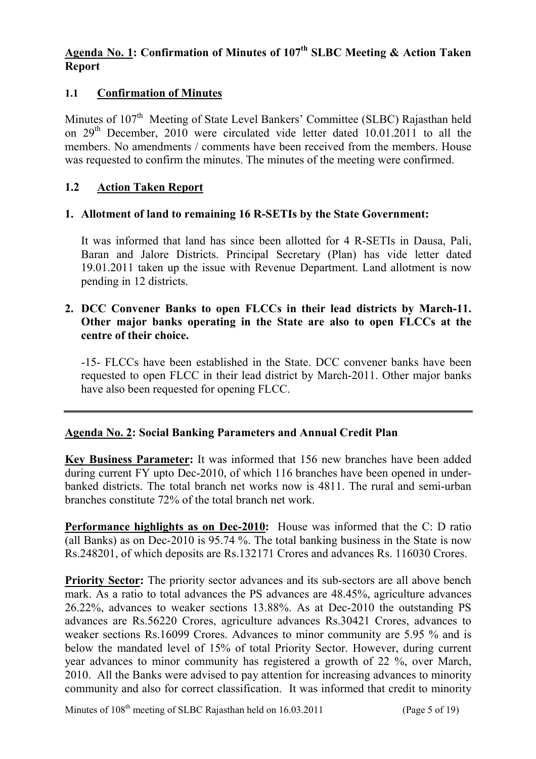### **Agenda No. 1: Confirmation of Minutes of 107th SLBC Meeting & Action Taken Report**

### **1.1 Confirmation of Minutes**

Minutes of 107<sup>th</sup> Meeting of State Level Bankers' Committee (SLBC) Rajasthan held on  $29<sup>th</sup>$  December,  $2010$  were circulated vide letter dated  $10.01.2011$  to all the members. No amendments / comments have been received from the members. House was requested to confirm the minutes. The minutes of the meeting were confirmed.

### **1.2 Action Taken Report**

### **1. Allotment of land to remaining 16 R-SETIs by the State Government:**

It was informed that land has since been allotted for 4 R-SETIs in Dausa, Pali, Baran and Jalore Districts. Principal Secretary (Plan) has vide letter dated 19.01.2011 taken up the issue with Revenue Department. Land allotment is now pending in 12 districts.

### **2. DCC Convener Banks to open FLCCs in their lead districts by March-11. Other major banks operating in the State are also to open FLCCs at the centre of their choice.**

-15- FLCCs have been established in the State. DCC convener banks have been requested to open FLCC in their lead district by March-2011. Other major banks have also been requested for opening FLCC.

### **Agenda No. 2: Social Banking Parameters and Annual Credit Plan**

**Key Business Parameter:** It was informed that 156 new branches have been added during current FY upto Dec-2010, of which 116 branches have been opened in underbanked districts. The total branch net works now is 4811. The rural and semi-urban branches constitute 72% of the total branch net work.

**Performance highlights as on Dec-2010:** House was informed that the C: D ratio (all Banks) as on Dec-2010 is 95.74 %. The total banking business in the State is now Rs.248201, of which deposits are Rs.132171 Crores and advances Rs. 116030 Crores.

**Priority Sector:** The priority sector advances and its sub-sectors are all above bench mark. As a ratio to total advances the PS advances are 48.45%, agriculture advances 26.22%, advances to weaker sections 13.88%. As at Dec-2010 the outstanding PS advances are Rs.56220 Crores, agriculture advances Rs.30421 Crores, advances to weaker sections Rs.16099 Crores. Advances to minor community are 5.95 % and is below the mandated level of 15% of total Priority Sector. However, during current year advances to minor community has registered a growth of 22 %, over March, 2010. All the Banks were advised to pay attention for increasing advances to minority community and also for correct classification. It was informed that credit to minority

Minutes of  $108<sup>th</sup>$  meeting of SLBC Rajasthan held on  $16.03.2011$  (Page 5 of 19)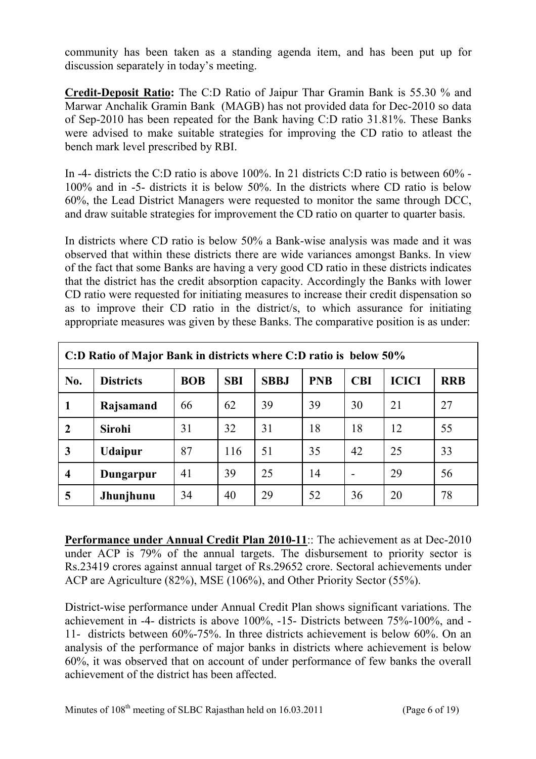community has been taken as a standing agenda item, and has been put up for discussion separately in today's meeting.

**Credit-Deposit Ratio:** The C:D Ratio of Jaipur Thar Gramin Bank is 55.30 % and Marwar Anchalik Gramin Bank (MAGB) has not provided data for Dec-2010 so data of Sep-2010 has been repeated for the Bank having C:D ratio 31.81%. These Banks were advised to make suitable strategies for improving the CD ratio to atleast the bench mark level prescribed by RBI.

In -4- districts the C:D ratio is above 100%. In 21 districts C:D ratio is between 60% - 100% and in -5- districts it is below 50%. In the districts where CD ratio is below 60%, the Lead District Managers were requested to monitor the same through DCC, and draw suitable strategies for improvement the CD ratio on quarter to quarter basis.

In districts where CD ratio is below 50% a Bank-wise analysis was made and it was observed that within these districts there are wide variances amongst Banks. In view of the fact that some Banks are having a very good CD ratio in these districts indicates that the district has the credit absorption capacity. Accordingly the Banks with lower CD ratio were requested for initiating measures to increase their credit dispensation so as to improve their CD ratio in the district/s, to which assurance for initiating appropriate measures was given by these Banks. The comparative position is as under:

| C:D Ratio of Major Bank in districts where C:D ratio is below 50% |                  |            |            |             |            |                          |              |            |
|-------------------------------------------------------------------|------------------|------------|------------|-------------|------------|--------------------------|--------------|------------|
| No.                                                               | <b>Districts</b> | <b>BOB</b> | <b>SBI</b> | <b>SBBJ</b> | <b>PNB</b> | <b>CBI</b>               | <b>ICICI</b> | <b>RRB</b> |
| $\mathbf 1$                                                       | Rajsamand        | 66         | 62         | 39          | 39         | 30                       | 21           | 27         |
| $\overline{2}$                                                    | <b>Sirohi</b>    | 31         | 32         | 31          | 18         | 18                       | 12           | 55         |
| $\mathbf{3}$                                                      | <b>Udaipur</b>   | 87         | 116        | 51          | 35         | 42                       | 25           | 33         |
| $\overline{\mathbf{4}}$                                           | Dungarpur        | 41         | 39         | 25          | 14         | $\overline{\phantom{a}}$ | 29           | 56         |
| 5                                                                 | Jhunjhunu        | 34         | 40         | 29          | 52         | 36                       | 20           | 78         |

**Performance under Annual Credit Plan 2010-11**:: The achievement as at Dec-2010 under ACP is 79% of the annual targets. The disbursement to priority sector is Rs.23419 crores against annual target of Rs.29652 crore. Sectoral achievements under ACP are Agriculture (82%), MSE (106%), and Other Priority Sector (55%).

District-wise performance under Annual Credit Plan shows significant variations. The achievement in -4- districts is above 100%, -15- Districts between 75%-100%, and - 11- districts between 60%-75%. In three districts achievement is below 60%. On an analysis of the performance of major banks in districts where achievement is below 60%, it was observed that on account of under performance of few banks the overall achievement of the district has been affected.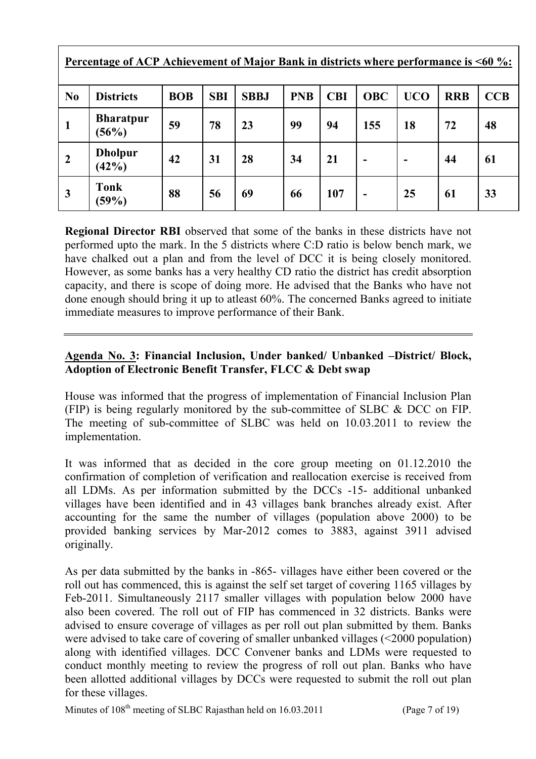| Percentage of ACP Achievement of Major Bank in districts where performance is <60 %: |                           |            |            |             |            |            |                          |            |            |            |
|--------------------------------------------------------------------------------------|---------------------------|------------|------------|-------------|------------|------------|--------------------------|------------|------------|------------|
| N <sub>0</sub>                                                                       | <b>Districts</b>          | <b>BOB</b> | <b>SBI</b> | <b>SBBJ</b> | <b>PNB</b> | <b>CBI</b> | <b>OBC</b>               | <b>UCO</b> | <b>RRB</b> | <b>CCB</b> |
| 1                                                                                    | <b>Bharatpur</b><br>(56%) | 59         | 78         | 23          | 99         | 94         | 155                      | 18         | 72         | 48         |
| $\overline{2}$                                                                       | <b>Dholpur</b><br>(42%)   | 42         | 31         | 28          | 34         | 21         | $\blacksquare$           |            | 44         | 61         |
| $\mathbf{3}$                                                                         | <b>Tonk</b><br>(59%)      | 88         | 56         | 69          | 66         | 107        | $\overline{\phantom{0}}$ | 25         | 61         | 33         |

**Regional Director RBI** observed that some of the banks in these districts have not performed upto the mark. In the 5 districts where C:D ratio is below bench mark, we have chalked out a plan and from the level of DCC it is being closely monitored. However, as some banks has a very healthy CD ratio the district has credit absorption capacity, and there is scope of doing more. He advised that the Banks who have not done enough should bring it up to atleast 60%. The concerned Banks agreed to initiate immediate measures to improve performance of their Bank.

## **Agenda No. 3: Financial Inclusion, Under banked/ Unbanked –District/ Block, Adoption of Electronic Benefit Transfer, FLCC & Debt swap**

House was informed that the progress of implementation of Financial Inclusion Plan (FIP) is being regularly monitored by the sub-committee of SLBC & DCC on FIP. The meeting of sub-committee of SLBC was held on 10.03.2011 to review the implementation.

It was informed that as decided in the core group meeting on 01.12.2010 the confirmation of completion of verification and reallocation exercise is received from all LDMs. As per information submitted by the DCCs -15- additional unbanked villages have been identified and in 43 villages bank branches already exist. After accounting for the same the number of villages (population above 2000) to be provided banking services by Mar-2012 comes to 3883, against 3911 advised originally.

As per data submitted by the banks in -865- villages have either been covered or the roll out has commenced, this is against the self set target of covering 1165 villages by Feb-2011. Simultaneously 2117 smaller villages with population below 2000 have also been covered. The roll out of FIP has commenced in 32 districts. Banks were advised to ensure coverage of villages as per roll out plan submitted by them. Banks were advised to take care of covering of smaller unbanked villages (<2000 population) along with identified villages. DCC Convener banks and LDMs were requested to conduct monthly meeting to review the progress of roll out plan. Banks who have been allotted additional villages by DCCs were requested to submit the roll out plan for these villages.

Minutes of  $108<sup>th</sup>$  meeting of SLBC Rajasthan held on  $16.03.2011$  (Page 7 of 19)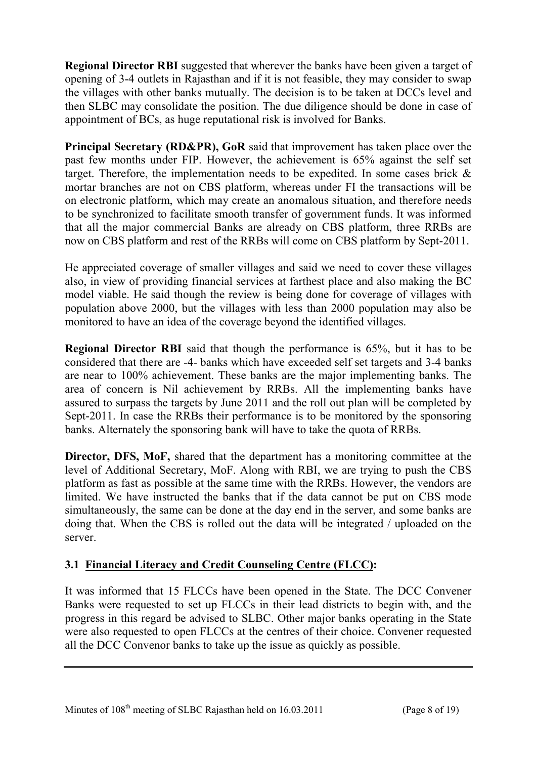**Regional Director RBI** suggested that wherever the banks have been given a target of opening of 3-4 outlets in Rajasthan and if it is not feasible, they may consider to swap the villages with other banks mutually. The decision is to be taken at DCCs level and then SLBC may consolidate the position. The due diligence should be done in case of appointment of BCs, as huge reputational risk is involved for Banks.

**Principal Secretary (RD&PR), GoR** said that improvement has taken place over the past few months under FIP. However, the achievement is 65% against the self set target. Therefore, the implementation needs to be expedited. In some cases brick  $\&$ mortar branches are not on CBS platform, whereas under FI the transactions will be on electronic platform, which may create an anomalous situation, and therefore needs to be synchronized to facilitate smooth transfer of government funds. It was informed that all the major commercial Banks are already on CBS platform, three RRBs are now on CBS platform and rest of the RRBs will come on CBS platform by Sept-2011.

He appreciated coverage of smaller villages and said we need to cover these villages also, in view of providing financial services at farthest place and also making the BC model viable. He said though the review is being done for coverage of villages with population above 2000, but the villages with less than 2000 population may also be monitored to have an idea of the coverage beyond the identified villages.

**Regional Director RBI** said that though the performance is 65%, but it has to be considered that there are -4- banks which have exceeded self set targets and 3-4 banks are near to 100% achievement. These banks are the major implementing banks. The area of concern is Nil achievement by RRBs. All the implementing banks have assured to surpass the targets by June 2011 and the roll out plan will be completed by Sept-2011. In case the RRBs their performance is to be monitored by the sponsoring banks. Alternately the sponsoring bank will have to take the quota of RRBs.

**Director, DFS, MoF,** shared that the department has a monitoring committee at the level of Additional Secretary, MoF. Along with RBI, we are trying to push the CBS platform as fast as possible at the same time with the RRBs. However, the vendors are limited. We have instructed the banks that if the data cannot be put on CBS mode simultaneously, the same can be done at the day end in the server, and some banks are doing that. When the CBS is rolled out the data will be integrated / uploaded on the server.

# **3.1 Financial Literacy and Credit Counseling Centre (FLCC):**

It was informed that 15 FLCCs have been opened in the State. The DCC Convener Banks were requested to set up FLCCs in their lead districts to begin with, and the progress in this regard be advised to SLBC. Other major banks operating in the State were also requested to open FLCCs at the centres of their choice. Convener requested all the DCC Convenor banks to take up the issue as quickly as possible.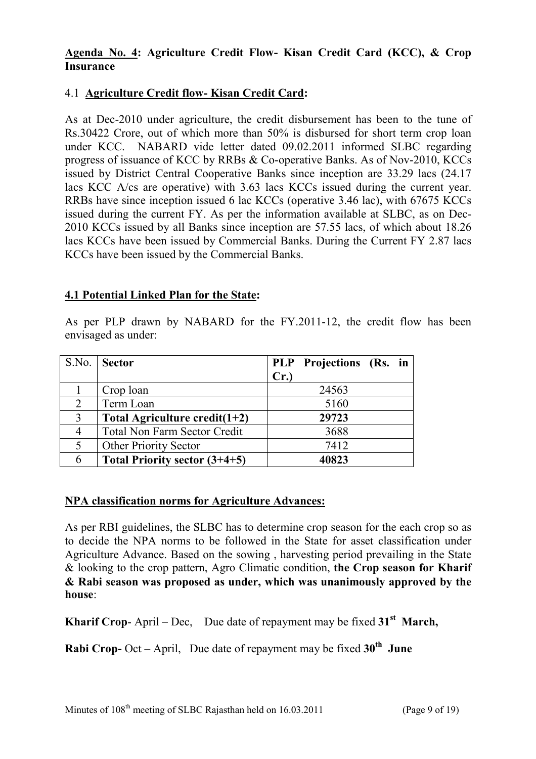### **Agenda No. 4: Agriculture Credit Flow- Kisan Credit Card (KCC), & Crop Insurance**

### 4.1 **Agriculture Credit flow- Kisan Credit Card:**

As at Dec-2010 under agriculture, the credit disbursement has been to the tune of Rs.30422 Crore, out of which more than 50% is disbursed for short term crop loan under KCC. NABARD vide letter dated 09.02.2011 informed SLBC regarding progress of issuance of KCC by RRBs & Co-operative Banks. As of Nov-2010, KCCs issued by District Central Cooperative Banks since inception are 33.29 lacs (24.17 lacs KCC A/cs are operative) with 3.63 lacs KCCs issued during the current year. RRBs have since inception issued 6 lac KCCs (operative 3.46 lac), with 67675 KCCs issued during the current FY. As per the information available at SLBC, as on Dec-2010 KCCs issued by all Banks since inception are 57.55 lacs, of which about 18.26 lacs KCCs have been issued by Commercial Banks. During the Current FY 2.87 lacs KCCs have been issued by the Commercial Banks.

### **4.1 Potential Linked Plan for the State:**

As per PLP drawn by NABARD for the FY.2011-12, the credit flow has been envisaged as under:

|                | S.No. Sector                        |     | PLP Projections (Rs. in |  |
|----------------|-------------------------------------|-----|-------------------------|--|
|                |                                     | Cr. |                         |  |
|                | Crop loan                           |     | 24563                   |  |
| $\overline{2}$ | Term Loan                           |     | 5160                    |  |
| 3              | Total Agriculture credit( $1+2$ )   |     | 29723                   |  |
|                | <b>Total Non Farm Sector Credit</b> |     | 3688                    |  |
| 5              | <b>Other Priority Sector</b>        |     | 7412                    |  |
| 6              | Total Priority sector $(3+4+5)$     |     | 40823                   |  |

### **NPA classification norms for Agriculture Advances:**

As per RBI guidelines, the SLBC has to determine crop season for the each crop so as to decide the NPA norms to be followed in the State for asset classification under Agriculture Advance. Based on the sowing , harvesting period prevailing in the State & looking to the crop pattern, Agro Climatic condition, **the Crop season for Kharif & Rabi season was proposed as under, which was unanimously approved by the house**:

**Kharif Crop**- April – Dec, Due date of repayment may be fixed **31st March,** 

**Rabi Crop-** Oct – April, Due date of repayment may be fixed **30th June**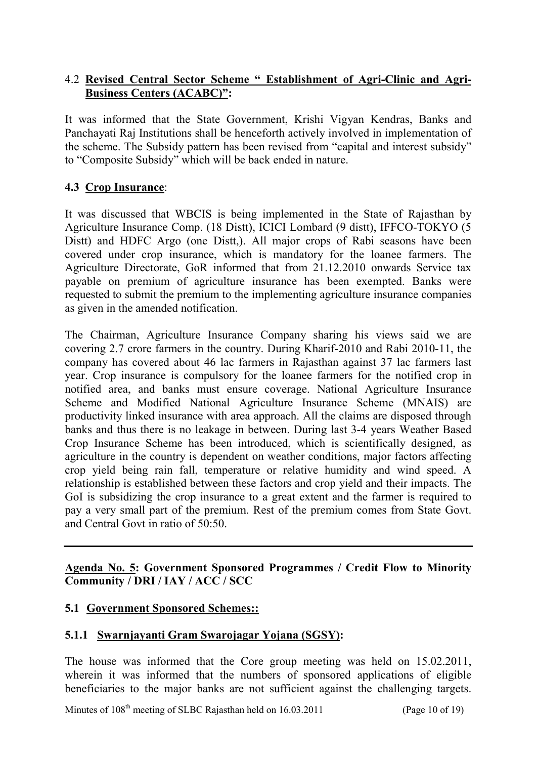### 4.2 **Revised Central Sector Scheme " Establishment of Agri-Clinic and Agri-Business Centers (ACABC)":**

It was informed that the State Government, Krishi Vigyan Kendras, Banks and Panchayati Raj Institutions shall be henceforth actively involved in implementation of the scheme. The Subsidy pattern has been revised from "capital and interest subsidy" to "Composite Subsidy" which will be back ended in nature.

### **4.3 Crop Insurance**:

It was discussed that WBCIS is being implemented in the State of Rajasthan by Agriculture Insurance Comp. (18 Distt), ICICI Lombard (9 distt), IFFCO-TOKYO (5 Distt) and HDFC Argo (one Distt,). All major crops of Rabi seasons have been covered under crop insurance, which is mandatory for the loanee farmers. The Agriculture Directorate, GoR informed that from 21.12.2010 onwards Service tax payable on premium of agriculture insurance has been exempted. Banks were requested to submit the premium to the implementing agriculture insurance companies as given in the amended notification.

The Chairman, Agriculture Insurance Company sharing his views said we are covering 2.7 crore farmers in the country. During Kharif-2010 and Rabi 2010-11, the company has covered about 46 lac farmers in Rajasthan against 37 lac farmers last year. Crop insurance is compulsory for the loanee farmers for the notified crop in notified area, and banks must ensure coverage. National Agriculture Insurance Scheme and Modified National Agriculture Insurance Scheme (MNAIS) are productivity linked insurance with area approach. All the claims are disposed through banks and thus there is no leakage in between. During last 3-4 years Weather Based Crop Insurance Scheme has been introduced, which is scientifically designed, as agriculture in the country is dependent on weather conditions, major factors affecting crop yield being rain fall, temperature or relative humidity and wind speed. A relationship is established between these factors and crop yield and their impacts. The GoI is subsidizing the crop insurance to a great extent and the farmer is required to pay a very small part of the premium. Rest of the premium comes from State Govt. and Central Govt in ratio of 50:50.

**Agenda No. 5: Government Sponsored Programmes / Credit Flow to Minority Community / DRI / IAY / ACC / SCC**

### **5.1 Government Sponsored Schemes::**

### **5.1.1 Swarnjayanti Gram Swarojagar Yojana (SGSY):**

The house was informed that the Core group meeting was held on 15.02.2011, wherein it was informed that the numbers of sponsored applications of eligible beneficiaries to the major banks are not sufficient against the challenging targets.

Minutes of  $108<sup>th</sup>$  meeting of SLBC Rajasthan held on  $16.03.2011$  (Page 10 of 19)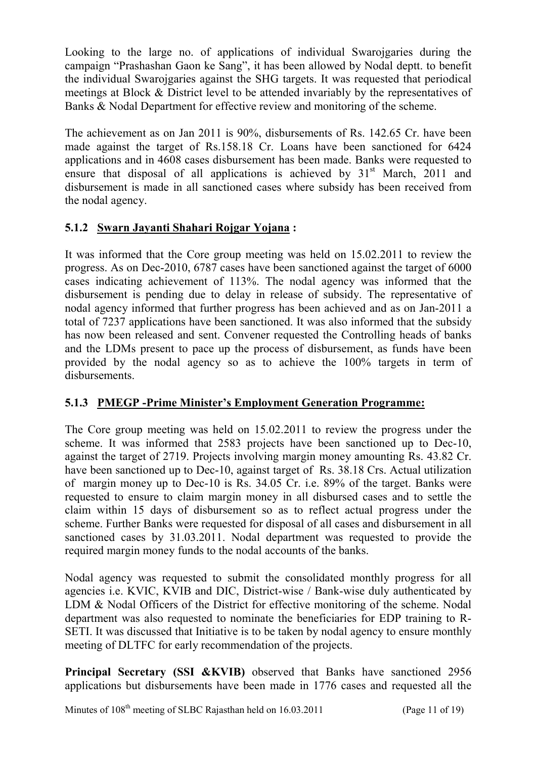Looking to the large no. of applications of individual Swarojgaries during the campaign "Prashashan Gaon ke Sang", it has been allowed by Nodal deptt. to benefit the individual Swarojgaries against the SHG targets. It was requested that periodical meetings at Block & District level to be attended invariably by the representatives of Banks & Nodal Department for effective review and monitoring of the scheme.

The achievement as on Jan 2011 is 90%, disbursements of Rs. 142.65 Cr. have been made against the target of Rs.158.18 Cr. Loans have been sanctioned for 6424 applications and in 4608 cases disbursement has been made. Banks were requested to ensure that disposal of all applications is achieved by  $31<sup>st</sup>$  March, 2011 and disbursement is made in all sanctioned cases where subsidy has been received from the nodal agency.

## **5.1.2 Swarn Jayanti Shahari Rojgar Yojana :**

It was informed that the Core group meeting was held on 15.02.2011 to review the progress. As on Dec-2010, 6787 cases have been sanctioned against the target of 6000 cases indicating achievement of 113%. The nodal agency was informed that the disbursement is pending due to delay in release of subsidy. The representative of nodal agency informed that further progress has been achieved and as on Jan-2011 a total of 7237 applications have been sanctioned. It was also informed that the subsidy has now been released and sent. Convener requested the Controlling heads of banks and the LDMs present to pace up the process of disbursement, as funds have been provided by the nodal agency so as to achieve the 100% targets in term of disbursements.

### **5.1.3 PMEGP -Prime Minister's Employment Generation Programme:**

The Core group meeting was held on 15.02.2011 to review the progress under the scheme. It was informed that 2583 projects have been sanctioned up to Dec-10, against the target of 2719. Projects involving margin money amounting Rs. 43.82 Cr. have been sanctioned up to Dec-10, against target of Rs. 38.18 Crs. Actual utilization of margin money up to Dec-10 is Rs. 34.05 Cr. i.e. 89% of the target. Banks were requested to ensure to claim margin money in all disbursed cases and to settle the claim within 15 days of disbursement so as to reflect actual progress under the scheme. Further Banks were requested for disposal of all cases and disbursement in all sanctioned cases by 31.03.2011. Nodal department was requested to provide the required margin money funds to the nodal accounts of the banks.

Nodal agency was requested to submit the consolidated monthly progress for all agencies i.e. KVIC, KVIB and DIC, District-wise / Bank-wise duly authenticated by LDM & Nodal Officers of the District for effective monitoring of the scheme. Nodal department was also requested to nominate the beneficiaries for EDP training to R-SETI. It was discussed that Initiative is to be taken by nodal agency to ensure monthly meeting of DLTFC for early recommendation of the projects.

**Principal Secretary (SSI &KVIB)** observed that Banks have sanctioned 2956 applications but disbursements have been made in 1776 cases and requested all the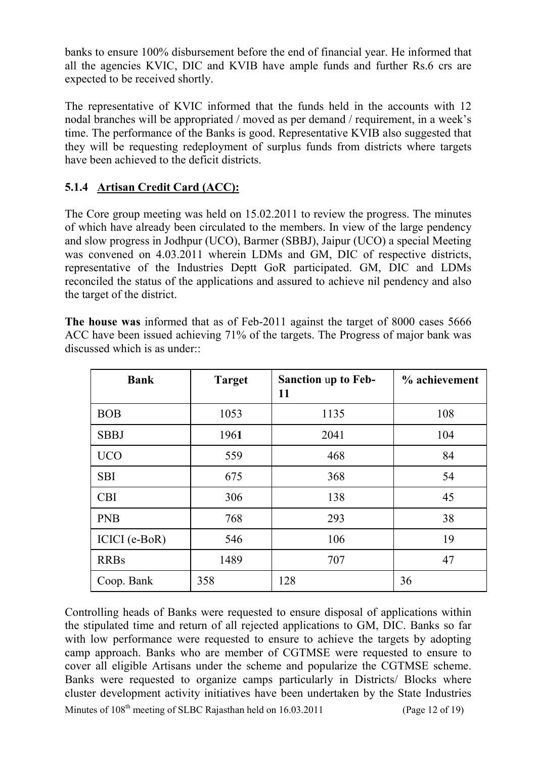banks to ensure 100% disbursement before the end of financial year. He informed that all the agencies KVIC, DIC and KVIB have ample funds and further Rs.6 crs are expected to be received shortly.

The representative of KVIC informed that the funds held in the accounts with 12 nodal branches will be appropriated / moved as per demand / requirement, in a week's time. The performance of the Banks is good. Representative KVIB also suggested that they will be requesting redeployment of surplus funds from districts where targets have been achieved to the deficit districts.

# **5.1.4 Artisan Credit Card (ACC):**

The Core group meeting was held on 15.02.2011 to review the progress. The minutes of which have already been circulated to the members. In view of the large pendency and slow progress in Jodhpur (UCO), Barmer (SBBJ), Jaipur (UCO) a special Meeting was convened on 4.03.2011 wherein LDMs and GM, DIC of respective districts, representative of the Industries Deptt GoR participated. GM, DIC and LDMs reconciled the status of the applications and assured to achieve nil pendency and also the target of the district.

**The house was** informed that as of Feb-2011 against the target of 8000 cases 5666 ACC have been issued achieving 71% of the targets. The Progress of major bank was discussed which is as under::

| <b>Bank</b>   | <b>Target</b> | <b>Sanction up to Feb-</b><br>11 | % achievement |
|---------------|---------------|----------------------------------|---------------|
| <b>BOB</b>    | 1053          | 1135                             | 108           |
| <b>SBBJ</b>   | 1961          | 2041                             | 104           |
| <b>UCO</b>    | 559           | 468                              | 84            |
| <b>SBI</b>    | 675           | 368                              | 54            |
| <b>CBI</b>    | 306           | 138                              | 45            |
| <b>PNB</b>    | 768           | 293                              | 38            |
| ICICI (e-BoR) | 546           | 106                              | 19            |
| <b>RRBs</b>   | 1489          | 707                              | 47            |
| Coop. Bank    | 358           | 128                              | 36            |

Minutes of  $108<sup>th</sup>$  meeting of SLBC Rajasthan held on  $16.03.2011$  (Page 12 of 19) Controlling heads of Banks were requested to ensure disposal of applications within the stipulated time and return of all rejected applications to GM, DIC. Banks so far with low performance were requested to ensure to achieve the targets by adopting camp approach. Banks who are member of CGTMSE were requested to ensure to cover all eligible Artisans under the scheme and popularize the CGTMSE scheme. Banks were requested to organize camps particularly in Districts/ Blocks where cluster development activity initiatives have been undertaken by the State Industries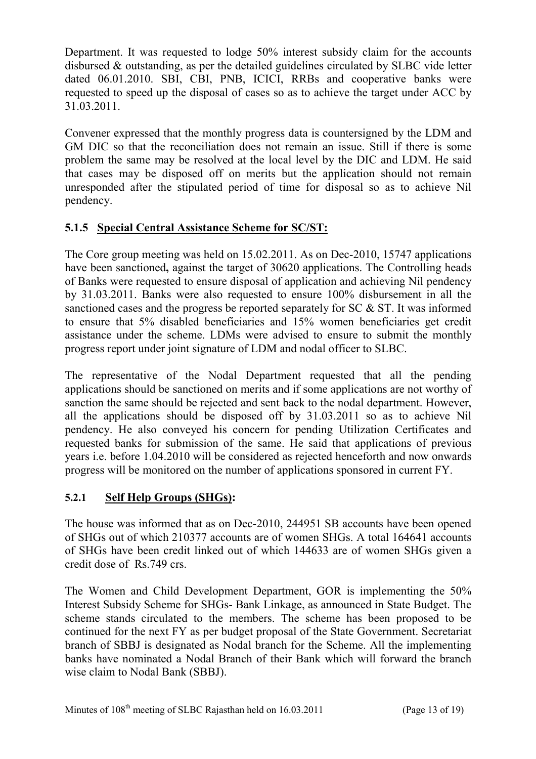Department. It was requested to lodge 50% interest subsidy claim for the accounts disbursed & outstanding, as per the detailed guidelines circulated by SLBC vide letter dated 06.01.2010. SBI, CBI, PNB, ICICI, RRBs and cooperative banks were requested to speed up the disposal of cases so as to achieve the target under ACC by 31.03.2011.

Convener expressed that the monthly progress data is countersigned by the LDM and GM DIC so that the reconciliation does not remain an issue. Still if there is some problem the same may be resolved at the local level by the DIC and LDM. He said that cases may be disposed off on merits but the application should not remain unresponded after the stipulated period of time for disposal so as to achieve Nil pendency.

## **5.1.5 Special Central Assistance Scheme for SC/ST:**

The Core group meeting was held on 15.02.2011. As on Dec-2010, 15747 applications have been sanctioned**,** against the target of 30620 applications. The Controlling heads of Banks were requested to ensure disposal of application and achieving Nil pendency by 31.03.2011. Banks were also requested to ensure 100% disbursement in all the sanctioned cases and the progress be reported separately for SC & ST. It was informed to ensure that 5% disabled beneficiaries and 15% women beneficiaries get credit assistance under the scheme. LDMs were advised to ensure to submit the monthly progress report under joint signature of LDM and nodal officer to SLBC.

The representative of the Nodal Department requested that all the pending applications should be sanctioned on merits and if some applications are not worthy of sanction the same should be rejected and sent back to the nodal department. However, all the applications should be disposed off by 31.03.2011 so as to achieve Nil pendency. He also conveyed his concern for pending Utilization Certificates and requested banks for submission of the same. He said that applications of previous years i.e. before 1.04.2010 will be considered as rejected henceforth and now onwards progress will be monitored on the number of applications sponsored in current FY.

# **5.2.1 Self Help Groups (SHGs):**

The house was informed that as on Dec-2010, 244951 SB accounts have been opened of SHGs out of which 210377 accounts are of women SHGs. A total 164641 accounts of SHGs have been credit linked out of which 144633 are of women SHGs given a credit dose of Rs.749 crs.

The Women and Child Development Department, GOR is implementing the 50% Interest Subsidy Scheme for SHGs- Bank Linkage, as announced in State Budget. The scheme stands circulated to the members. The scheme has been proposed to be continued for the next FY as per budget proposal of the State Government. Secretariat branch of SBBJ is designated as Nodal branch for the Scheme. All the implementing banks have nominated a Nodal Branch of their Bank which will forward the branch wise claim to Nodal Bank (SBBJ).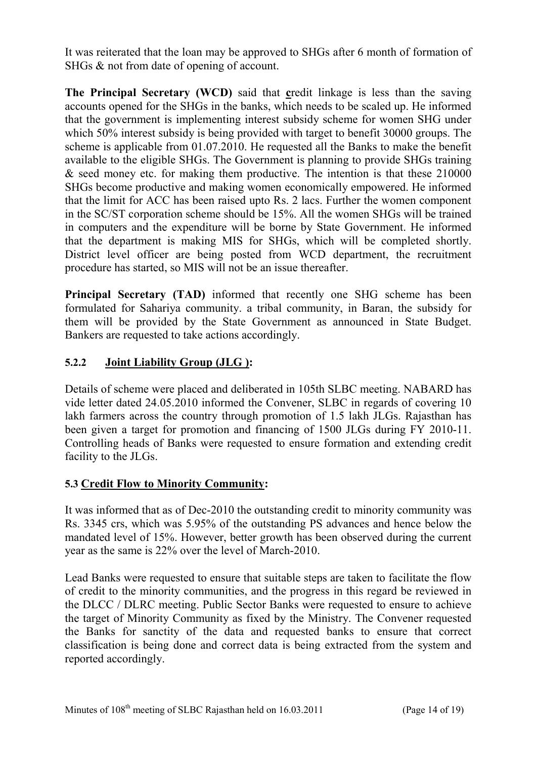It was reiterated that the loan may be approved to SHGs after 6 month of formation of SHGs & not from date of opening of account.

**The Principal Secretary (WCD)** said that **c**redit linkage is less than the saving accounts opened for the SHGs in the banks, which needs to be scaled up. He informed that the government is implementing interest subsidy scheme for women SHG under which 50% interest subsidy is being provided with target to benefit 30000 groups. The scheme is applicable from 01.07.2010. He requested all the Banks to make the benefit available to the eligible SHGs. The Government is planning to provide SHGs training & seed money etc. for making them productive. The intention is that these 210000 SHGs become productive and making women economically empowered. He informed that the limit for ACC has been raised upto Rs. 2 lacs. Further the women component in the SC/ST corporation scheme should be 15%. All the women SHGs will be trained in computers and the expenditure will be borne by State Government. He informed that the department is making MIS for SHGs, which will be completed shortly. District level officer are being posted from WCD department, the recruitment procedure has started, so MIS will not be an issue thereafter.

**Principal Secretary (TAD)** informed that recently one SHG scheme has been formulated for Sahariya community. a tribal community, in Baran, the subsidy for them will be provided by the State Government as announced in State Budget. Bankers are requested to take actions accordingly.

## **5.2.2 Joint Liability Group (JLG ):**

Details of scheme were placed and deliberated in 105th SLBC meeting. NABARD has vide letter dated 24.05.2010 informed the Convener, SLBC in regards of covering 10 lakh farmers across the country through promotion of 1.5 lakh JLGs. Rajasthan has been given a target for promotion and financing of 1500 JLGs during FY 2010-11. Controlling heads of Banks were requested to ensure formation and extending credit facility to the JLGs.

### **5.3 Credit Flow to Minority Community:**

It was informed that as of Dec-2010 the outstanding credit to minority community was Rs. 3345 crs, which was 5.95% of the outstanding PS advances and hence below the mandated level of 15%. However, better growth has been observed during the current year as the same is 22% over the level of March-2010.

Lead Banks were requested to ensure that suitable steps are taken to facilitate the flow of credit to the minority communities, and the progress in this regard be reviewed in the DLCC / DLRC meeting. Public Sector Banks were requested to ensure to achieve the target of Minority Community as fixed by the Ministry. The Convener requested the Banks for sanctity of the data and requested banks to ensure that correct classification is being done and correct data is being extracted from the system and reported accordingly.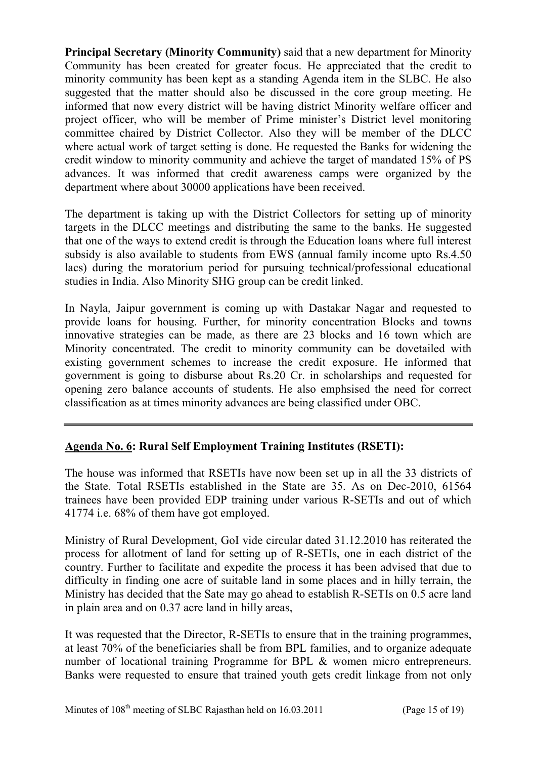**Principal Secretary (Minority Community)** said that a new department for Minority Community has been created for greater focus. He appreciated that the credit to minority community has been kept as a standing Agenda item in the SLBC. He also suggested that the matter should also be discussed in the core group meeting. He informed that now every district will be having district Minority welfare officer and project officer, who will be member of Prime minister's District level monitoring committee chaired by District Collector. Also they will be member of the DLCC where actual work of target setting is done. He requested the Banks for widening the credit window to minority community and achieve the target of mandated 15% of PS advances. It was informed that credit awareness camps were organized by the department where about 30000 applications have been received.

The department is taking up with the District Collectors for setting up of minority targets in the DLCC meetings and distributing the same to the banks. He suggested that one of the ways to extend credit is through the Education loans where full interest subsidy is also available to students from EWS (annual family income upto Rs.4.50 lacs) during the moratorium period for pursuing technical/professional educational studies in India. Also Minority SHG group can be credit linked.

In Nayla, Jaipur government is coming up with Dastakar Nagar and requested to provide loans for housing. Further, for minority concentration Blocks and towns innovative strategies can be made, as there are 23 blocks and 16 town which are Minority concentrated. The credit to minority community can be dovetailed with existing government schemes to increase the credit exposure. He informed that government is going to disburse about Rs.20 Cr. in scholarships and requested for opening zero balance accounts of students. He also emphsised the need for correct classification as at times minority advances are being classified under OBC.

### **Agenda No. 6: Rural Self Employment Training Institutes (RSETI):**

The house was informed that RSETIs have now been set up in all the 33 districts of the State. Total RSETIs established in the State are 35. As on Dec-2010, 61564 trainees have been provided EDP training under various R-SETIs and out of which 41774 i.e. 68% of them have got employed.

Ministry of Rural Development, GoI vide circular dated 31.12.2010 has reiterated the process for allotment of land for setting up of R-SETIs, one in each district of the country. Further to facilitate and expedite the process it has been advised that due to difficulty in finding one acre of suitable land in some places and in hilly terrain, the Ministry has decided that the Sate may go ahead to establish R-SETIs on 0.5 acre land in plain area and on 0.37 acre land in hilly areas,

It was requested that the Director, R-SETIs to ensure that in the training programmes, at least 70% of the beneficiaries shall be from BPL families, and to organize adequate number of locational training Programme for BPL & women micro entrepreneurs. Banks were requested to ensure that trained youth gets credit linkage from not only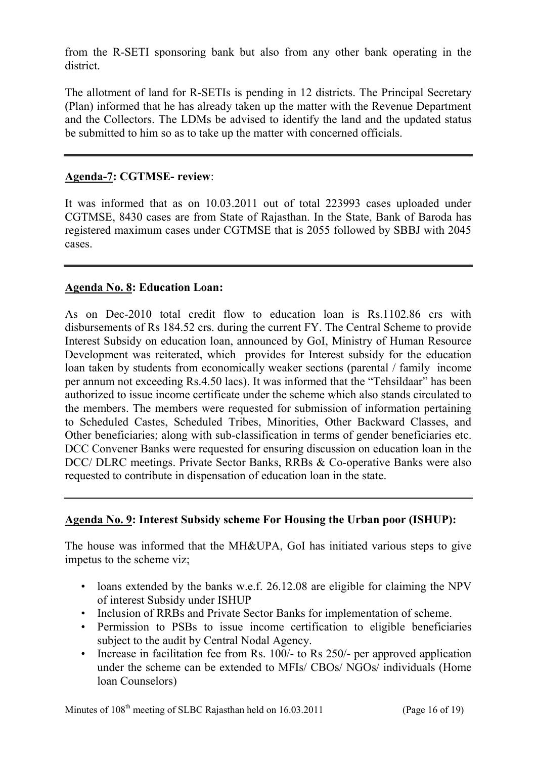from the R-SETI sponsoring bank but also from any other bank operating in the district.

The allotment of land for R-SETIs is pending in 12 districts. The Principal Secretary (Plan) informed that he has already taken up the matter with the Revenue Department and the Collectors. The LDMs be advised to identify the land and the updated status be submitted to him so as to take up the matter with concerned officials.

### **Agenda-7: CGTMSE- review**:

It was informed that as on 10.03.2011 out of total 223993 cases uploaded under CGTMSE, 8430 cases are from State of Rajasthan. In the State, Bank of Baroda has registered maximum cases under CGTMSE that is 2055 followed by SBBJ with 2045 cases.

### **Agenda No. 8: Education Loan:**

As on Dec-2010 total credit flow to education loan is Rs.1102.86 crs with disbursements of Rs 184.52 crs. during the current FY. The Central Scheme to provide Interest Subsidy on education loan, announced by GoI, Ministry of Human Resource Development was reiterated, which provides for Interest subsidy for the education loan taken by students from economically weaker sections (parental / family income per annum not exceeding Rs.4.50 lacs). It was informed that the "Tehsildaar" has been authorized to issue income certificate under the scheme which also stands circulated to the members. The members were requested for submission of information pertaining to Scheduled Castes, Scheduled Tribes, Minorities, Other Backward Classes, and Other beneficiaries; along with sub-classification in terms of gender beneficiaries etc. DCC Convener Banks were requested for ensuring discussion on education loan in the DCC/ DLRC meetings. Private Sector Banks, RRBs & Co-operative Banks were also requested to contribute in dispensation of education loan in the state.

### **Agenda No. 9: Interest Subsidy scheme For Housing the Urban poor (ISHUP):**

The house was informed that the MH&UPA, GoI has initiated various steps to give impetus to the scheme viz;

- loans extended by the banks w.e.f. 26.12.08 are eligible for claiming the NPV of interest Subsidy under ISHUP
- Inclusion of RRBs and Private Sector Banks for implementation of scheme.
- Permission to PSBs to issue income certification to eligible beneficiaries subject to the audit by Central Nodal Agency.
- Increase in facilitation fee from Rs. 100/- to Rs 250/- per approved application under the scheme can be extended to MFIs/ CBOs/ NGOs/ individuals (Home loan Counselors)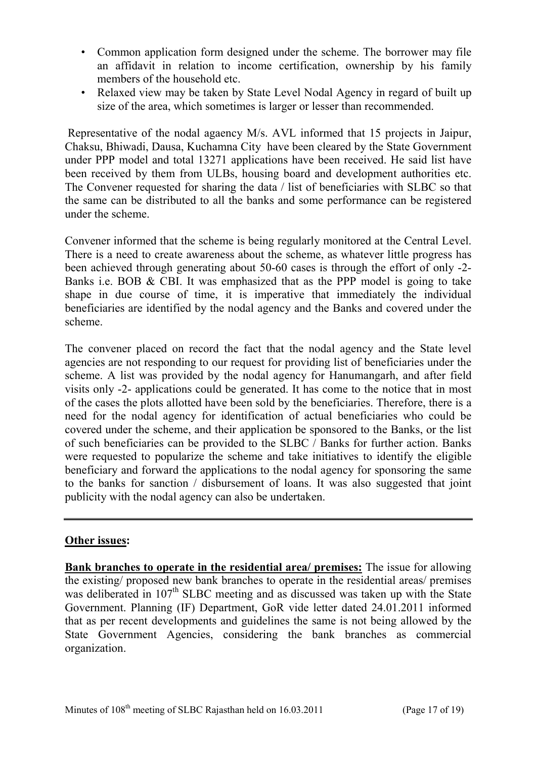- Common application form designed under the scheme. The borrower may file an affidavit in relation to income certification, ownership by his family members of the household etc.
- Relaxed view may be taken by State Level Nodal Agency in regard of built up size of the area, which sometimes is larger or lesser than recommended.

 Representative of the nodal agaency M/s. AVL informed that 15 projects in Jaipur, Chaksu, Bhiwadi, Dausa, Kuchamna City have been cleared by the State Government under PPP model and total 13271 applications have been received. He said list have been received by them from ULBs, housing board and development authorities etc. The Convener requested for sharing the data / list of beneficiaries with SLBC so that the same can be distributed to all the banks and some performance can be registered under the scheme.

Convener informed that the scheme is being regularly monitored at the Central Level. There is a need to create awareness about the scheme, as whatever little progress has been achieved through generating about 50-60 cases is through the effort of only -2- Banks i.e. BOB & CBI. It was emphasized that as the PPP model is going to take shape in due course of time, it is imperative that immediately the individual beneficiaries are identified by the nodal agency and the Banks and covered under the scheme.

The convener placed on record the fact that the nodal agency and the State level agencies are not responding to our request for providing list of beneficiaries under the scheme. A list was provided by the nodal agency for Hanumangarh, and after field visits only -2- applications could be generated. It has come to the notice that in most of the cases the plots allotted have been sold by the beneficiaries. Therefore, there is a need for the nodal agency for identification of actual beneficiaries who could be covered under the scheme, and their application be sponsored to the Banks, or the list of such beneficiaries can be provided to the SLBC / Banks for further action. Banks were requested to popularize the scheme and take initiatives to identify the eligible beneficiary and forward the applications to the nodal agency for sponsoring the same to the banks for sanction / disbursement of loans. It was also suggested that joint publicity with the nodal agency can also be undertaken.

### **Other issues:**

**Bank branches to operate in the residential area/ premises:** The issue for allowing the existing/ proposed new bank branches to operate in the residential areas/ premises was deliberated in  $107<sup>th</sup>$  SLBC meeting and as discussed was taken up with the State Government. Planning (IF) Department, GoR vide letter dated 24.01.2011 informed that as per recent developments and guidelines the same is not being allowed by the State Government Agencies, considering the bank branches as commercial organization.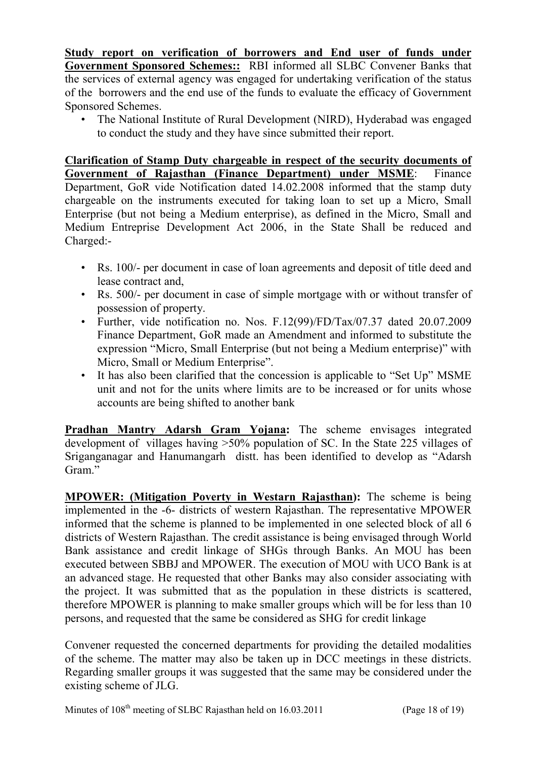**Study report on verification of borrowers and End user of funds under Government Sponsored Schemes::** RBI informed all SLBC Convener Banks that the services of external agency was engaged for undertaking verification of the status of the borrowers and the end use of the funds to evaluate the efficacy of Government Sponsored Schemes.

• The National Institute of Rural Development (NIRD), Hyderabad was engaged to conduct the study and they have since submitted their report.

**Clarification of Stamp Duty chargeable in respect of the security documents of Government of Rajasthan (Finance Department) under MSME**: Finance Department, GoR vide Notification dated 14.02.2008 informed that the stamp duty chargeable on the instruments executed for taking loan to set up a Micro, Small Enterprise (but not being a Medium enterprise), as defined in the Micro, Small and Medium Entreprise Development Act 2006, in the State Shall be reduced and Charged:-

- Rs. 100/- per document in case of loan agreements and deposit of title deed and lease contract and,
- Rs. 500/- per document in case of simple mortgage with or without transfer of possession of property.
- Further, vide notification no. Nos. F.12(99)/FD/Tax/07.37 dated 20.07.2009 Finance Department, GoR made an Amendment and informed to substitute the expression "Micro, Small Enterprise (but not being a Medium enterprise)" with Micro, Small or Medium Enterprise".
- It has also been clarified that the concession is applicable to "Set Up" MSME unit and not for the units where limits are to be increased or for units whose accounts are being shifted to another bank

**Pradhan Mantry Adarsh Gram Yojana:** The scheme envisages integrated development of villages having >50% population of SC. In the State 225 villages of Sriganganagar and Hanumangarh distt. has been identified to develop as "Adarsh Gram<sup>"</sup>

**MPOWER: (Mitigation Poverty in Westarn Rajasthan):** The scheme is being implemented in the -6- districts of western Rajasthan. The representative MPOWER informed that the scheme is planned to be implemented in one selected block of all 6 districts of Western Rajasthan. The credit assistance is being envisaged through World Bank assistance and credit linkage of SHGs through Banks. An MOU has been executed between SBBJ and MPOWER. The execution of MOU with UCO Bank is at an advanced stage. He requested that other Banks may also consider associating with the project. It was submitted that as the population in these districts is scattered, therefore MPOWER is planning to make smaller groups which will be for less than 10 persons, and requested that the same be considered as SHG for credit linkage

Convener requested the concerned departments for providing the detailed modalities of the scheme. The matter may also be taken up in DCC meetings in these districts. Regarding smaller groups it was suggested that the same may be considered under the existing scheme of JLG.